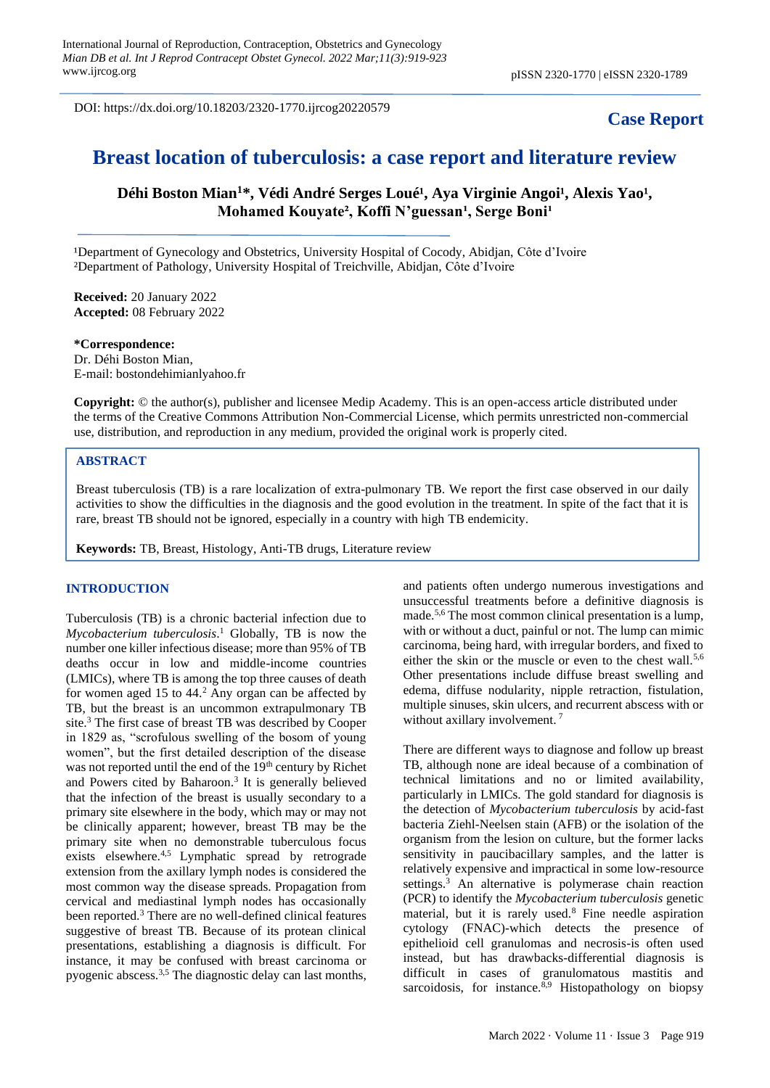DOI: https://dx.doi.org/10.18203/2320-1770.ijrcog20220579

## **Case Report**

# **Breast location of tuberculosis: a case report and literature review**

Déhi Boston Mian<sup>1\*</sup>, Védi André Serges Loué<sup>1</sup>, Aya Virginie Angoi<sup>1</sup>, Alexis Yao<sup>1</sup>, Mohamed Kouyate<sup>2</sup>, Koffi N'guessan<sup>1</sup>, Serge Boni<sup>1</sup>

<sup>1</sup>Department of Gynecology and Obstetrics, University Hospital of Cocody, Abidjan, Côte d'Ivoire ²Department of Pathology, University Hospital of Treichville, Abidjan, Côte d'Ivoire

**Received:** 20 January 2022 **Accepted:** 08 February 2022

**\*Correspondence:** Dr. Déhi Boston Mian, E-mail: bostondehimianlyahoo.fr

**Copyright:** © the author(s), publisher and licensee Medip Academy. This is an open-access article distributed under the terms of the Creative Commons Attribution Non-Commercial License, which permits unrestricted non-commercial use, distribution, and reproduction in any medium, provided the original work is properly cited.

### **ABSTRACT**

Breast tuberculosis (TB) is a rare localization of extra-pulmonary TB. We report the first case observed in our daily activities to show the difficulties in the diagnosis and the good evolution in the treatment. In spite of the fact that it is rare, breast TB should not be ignored, especially in a country with high TB endemicity.

**Keywords:** TB, Breast, Histology, Anti-TB drugs, Literature review

### **INTRODUCTION**

Tuberculosis (TB) is a chronic bacterial infection due to *Mycobacterium tuberculosis*. <sup>1</sup> Globally, TB is now the number one killer infectious disease; more than 95% of TB deaths occur in low and middle-income countries (LMICs), where TB is among the top three causes of death for women aged 15 to  $44.2$  Any organ can be affected by TB, but the breast is an uncommon extrapulmonary TB site.<sup>3</sup> The first case of breast TB was described by Cooper in 1829 as, "scrofulous swelling of the bosom of young women", but the first detailed description of the disease was not reported until the end of the 19<sup>th</sup> century by Richet and Powers cited by Baharoon.<sup>3</sup> It is generally believed that the infection of the breast is usually secondary to a primary site elsewhere in the body, which may or may not be clinically apparent; however, breast TB may be the primary site when no demonstrable tuberculous focus exists elsewhere.<sup>4,5</sup> Lymphatic spread by retrograde extension from the axillary lymph nodes is considered the most common way the disease spreads. Propagation from cervical and mediastinal lymph nodes has occasionally been reported.<sup>3</sup> There are no well-defined clinical features suggestive of breast TB. Because of its protean clinical presentations, establishing a diagnosis is difficult. For instance, it may be confused with breast carcinoma or pyogenic abscess.3,5 The diagnostic delay can last months, and patients often undergo numerous investigations and unsuccessful treatments before a definitive diagnosis is made.5,6 The most common clinical presentation is a lump, with or without a duct, painful or not. The lump can mimic carcinoma, being hard, with irregular borders, and fixed to either the skin or the muscle or even to the chest wall.<sup>5,6</sup> Other presentations include diffuse breast swelling and edema, diffuse nodularity, nipple retraction, fistulation, multiple sinuses, skin ulcers, and recurrent abscess with or without axillary involvement.<sup>7</sup>

There are different ways to diagnose and follow up breast TB, although none are ideal because of a combination of technical limitations and no or limited availability, particularly in LMICs. The gold standard for diagnosis is the detection of *Mycobacterium tuberculosis* by acid-fast bacteria Ziehl-Neelsen stain (AFB) or the isolation of the organism from the lesion on culture, but the former lacks sensitivity in paucibacillary samples, and the latter is relatively expensive and impractical in some low-resource settings.<sup>3</sup> An alternative is polymerase chain reaction (PCR) to identify the *Mycobacterium tuberculosis* genetic material, but it is rarely used. $8$  Fine needle aspiration cytology (FNAC)-which detects the presence of epithelioid cell granulomas and necrosis-is often used instead, but has drawbacks-differential diagnosis is difficult in cases of granulomatous mastitis and sarcoidosis, for instance. $8,9$  Histopathology on biopsy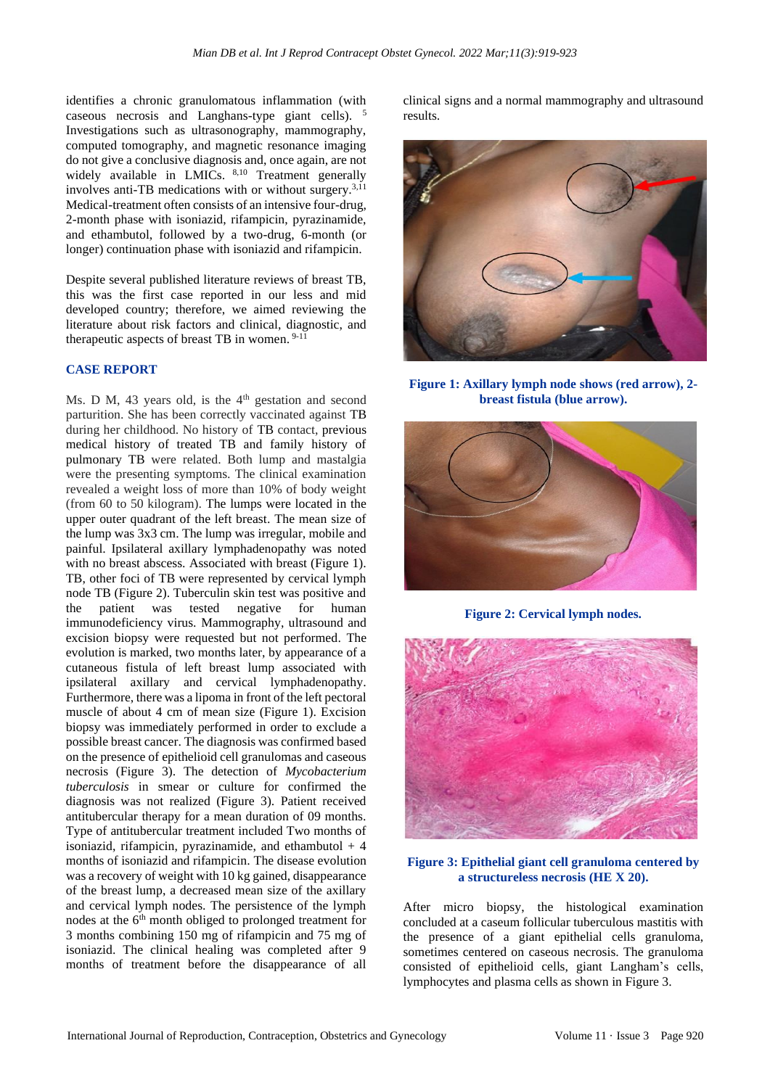identifies a chronic granulomatous inflammation (with caseous necrosis and Langhans-type giant cells). <sup>5</sup> Investigations such as ultrasonography, mammography, computed tomography, and magnetic resonance imaging do not give a conclusive diagnosis and, once again, are not widely available in LMICs. 8,10 Treatment generally involves anti-TB medications with or without surgery.3,11 Medical-treatment often consists of an intensive four-drug, 2-month phase with isoniazid, rifampicin, pyrazinamide, and ethambutol, followed by a two-drug, 6-month (or longer) continuation phase with isoniazid and rifampicin.

Despite several published literature reviews of breast TB, this was the first case reported in our less and mid developed country; therefore, we aimed reviewing the literature about risk factors and clinical, diagnostic, and therapeutic aspects of breast TB in women. 9-11

### **CASE REPORT**

Ms. D M, 43 years old, is the  $4<sup>th</sup>$  gestation and second parturition. She has been correctly vaccinated against TB during her childhood. No history of TB contact, previous medical history of treated TB and family history of pulmonary TB were related. Both lump and mastalgia were the presenting symptoms. The clinical examination revealed a weight loss of more than 10% of body weight (from 60 to 50 kilogram). The lumps were located in the upper outer quadrant of the left breast. The mean size of the lump was 3x3 cm. The lump was irregular, mobile and painful. Ipsilateral axillary lymphadenopathy was noted with no breast abscess. Associated with breast (Figure 1). TB, other foci of TB were represented by cervical lymph node TB (Figure 2). Tuberculin skin test was positive and the patient was tested negative for human immunodeficiency virus. Mammography, ultrasound and excision biopsy were requested but not performed. The evolution is marked, two months later, by appearance of a cutaneous fistula of left breast lump associated with ipsilateral axillary and cervical lymphadenopathy. Furthermore, there was a lipoma in front of the left pectoral muscle of about 4 cm of mean size (Figure 1). Excision biopsy was immediately performed in order to exclude a possible breast cancer. The diagnosis was confirmed based on the presence of epithelioid cell granulomas and caseous necrosis (Figure 3). The detection of *Mycobacterium tuberculosis* in smear or culture for confirmed the diagnosis was not realized (Figure 3). Patient received antitubercular therapy for a mean duration of 09 months. Type of antitubercular treatment included Two months of isoniazid, rifampicin, pyrazinamide, and ethambutol  $+4$ months of isoniazid and rifampicin. The disease evolution was a recovery of weight with 10 kg gained, disappearance of the breast lump, a decreased mean size of the axillary and cervical lymph nodes. The persistence of the lymph nodes at the 6<sup>th</sup> month obliged to prolonged treatment for 3 months combining 150 mg of rifampicin and 75 mg of isoniazid. The clinical healing was completed after 9 months of treatment before the disappearance of all clinical signs and a normal mammography and ultrasound results.



**Figure 1: Axillary lymph node shows (red arrow), 2 breast fistula (blue arrow).**



**Figure 2: Cervical lymph nodes.**



#### **Figure 3: Epithelial giant cell granuloma centered by a structureless necrosis (HE X 20).**

After micro biopsy, the histological examination concluded at a caseum follicular tuberculous mastitis with the presence of a giant epithelial cells granuloma, sometimes centered on caseous necrosis. The granuloma consisted of epithelioid cells, giant Langham's cells, lymphocytes and plasma cells as shown in Figure 3.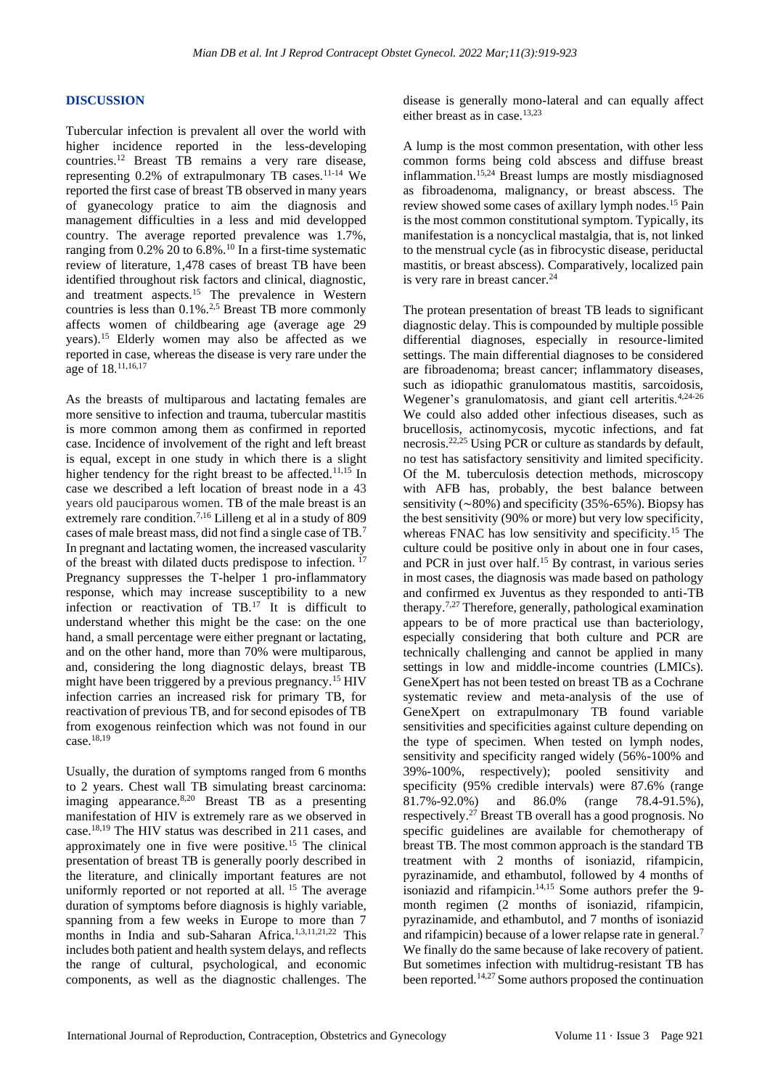#### **DISCUSSION**

Tubercular infection is prevalent all over the world with higher incidence reported in the less-developing countries.<sup>12</sup> Breast TB remains a very rare disease, representing  $0.2\%$  of extrapulmonary TB cases.<sup>11-14</sup> We reported the first case of breast TB observed in many years of gyanecology pratice to aim the diagnosis and management difficulties in a less and mid developped country. The average reported prevalence was 1.7%, ranging from  $0.2\%$  20 to  $6.8\%$ .<sup>10</sup> In a first-time systematic review of literature, 1,478 cases of breast TB have been identified throughout risk factors and clinical, diagnostic, and treatment aspects.<sup>15</sup> The prevalence in Western countries is less than 0.1%.2,5 Breast TB more commonly affects women of childbearing age (average age 29 years).<sup>15</sup> Elderly women may also be affected as we reported in case, whereas the disease is very rare under the age of 18.11,16,17

As the breasts of multiparous and lactating females are more sensitive to infection and trauma, tubercular mastitis is more common among them as confirmed in reported case. Incidence of involvement of the right and left breast is equal, except in one study in which there is a slight higher tendency for the right breast to be affected.<sup>11,15</sup> In case we described a left location of breast node in a 43 years old pauciparous women. TB of the male breast is an extremely rare condition.<sup>7,16</sup> Lilleng et al in a study of 809 cases of male breast mass, did not find a single case of TB.<sup>7</sup> In pregnant and lactating women, the increased vascularity of the breast with dilated ducts predispose to infection. <sup>17</sup> Pregnancy suppresses the T-helper 1 pro-inflammatory response, which may increase susceptibility to a new infection or reactivation of TB.<sup>17</sup> It is difficult to understand whether this might be the case: on the one hand, a small percentage were either pregnant or lactating, and on the other hand, more than 70% were multiparous, and, considering the long diagnostic delays, breast TB might have been triggered by a previous pregnancy.<sup>15</sup> HIV infection carries an increased risk for primary TB, for reactivation of previous TB, and for second episodes of TB from exogenous reinfection which was not found in our case.18,19

Usually, the duration of symptoms ranged from 6 months to 2 years. Chest wall TB simulating breast carcinoma: imaging appearance. $8,20$  Breast TB as a presenting manifestation of HIV is extremely rare as we observed in case.18,19 The HIV status was described in 211 cases, and approximately one in five were positive.<sup>15</sup> The clinical presentation of breast TB is generally poorly described in the literature, and clinically important features are not uniformly reported or not reported at all.<sup>15</sup> The average duration of symptoms before diagnosis is highly variable, spanning from a few weeks in Europe to more than 7 months in India and sub-Saharan Africa.1,3,11,21,22 This includes both patient and health system delays, and reflects the range of cultural, psychological, and economic components, as well as the diagnostic challenges. The disease is generally mono-lateral and can equally affect either breast as in case.<sup>13,23</sup>

A lump is the most common presentation, with other less common forms being cold abscess and diffuse breast inflammation.15,24 Breast lumps are mostly misdiagnosed as fibroadenoma, malignancy, or breast abscess. The review showed some cases of axillary lymph nodes.<sup>15</sup> Pain is the most common constitutional symptom. Typically, its manifestation is a noncyclical mastalgia, that is, not linked to the menstrual cycle (as in fibrocystic disease, periductal mastitis, or breast abscess). Comparatively, localized pain is very rare in breast cancer. $^{24}$ 

The protean presentation of breast TB leads to significant diagnostic delay. This is compounded by multiple possible differential diagnoses, especially in resource-limited settings. The main differential diagnoses to be considered are fibroadenoma; breast cancer; inflammatory diseases, such as idiopathic granulomatous mastitis, sarcoidosis, Wegener's granulomatosis, and giant cell arteritis.4,24-26 We could also added other infectious diseases, such as brucellosis, actinomycosis, mycotic infections, and fat necrosis.22,25 Using PCR or culture as standards by default, no test has satisfactory sensitivity and limited specificity. Of the M. tuberculosis detection methods, microscopy with AFB has, probably, the best balance between sensitivity (∼80%) and specificity (35%-65%). Biopsy has the best sensitivity (90% or more) but very low specificity, whereas FNAC has low sensitivity and specificity.<sup>15</sup> The culture could be positive only in about one in four cases, and PCR in just over half.<sup>15</sup> By contrast, in various series in most cases, the diagnosis was made based on pathology and confirmed ex Juventus as they responded to anti-TB therapy.7,27 Therefore, generally, pathological examination appears to be of more practical use than bacteriology, especially considering that both culture and PCR are technically challenging and cannot be applied in many settings in low and middle-income countries (LMICs). GeneXpert has not been tested on breast TB as a Cochrane systematic review and meta-analysis of the use of GeneXpert on extrapulmonary TB found variable sensitivities and specificities against culture depending on the type of specimen. When tested on lymph nodes, sensitivity and specificity ranged widely (56%-100% and 39%-100%, respectively); pooled sensitivity and specificity (95% credible intervals) were 87.6% (range 81.7%-92.0%) and 86.0% (range 78.4-91.5%), respectively.<sup>27</sup> Breast TB overall has a good prognosis. No specific guidelines are available for chemotherapy of breast TB. The most common approach is the standard TB treatment with 2 months of isoniazid, rifampicin, pyrazinamide, and ethambutol, followed by 4 months of isoniazid and rifampicin.14,15 Some authors prefer the 9 month regimen (2 months of isoniazid, rifampicin, pyrazinamide, and ethambutol, and 7 months of isoniazid and rifampicin) because of a lower relapse rate in general.<sup>7</sup> We finally do the same because of lake recovery of patient. But sometimes infection with multidrug-resistant TB has been reported.14,27 Some authors proposed the continuation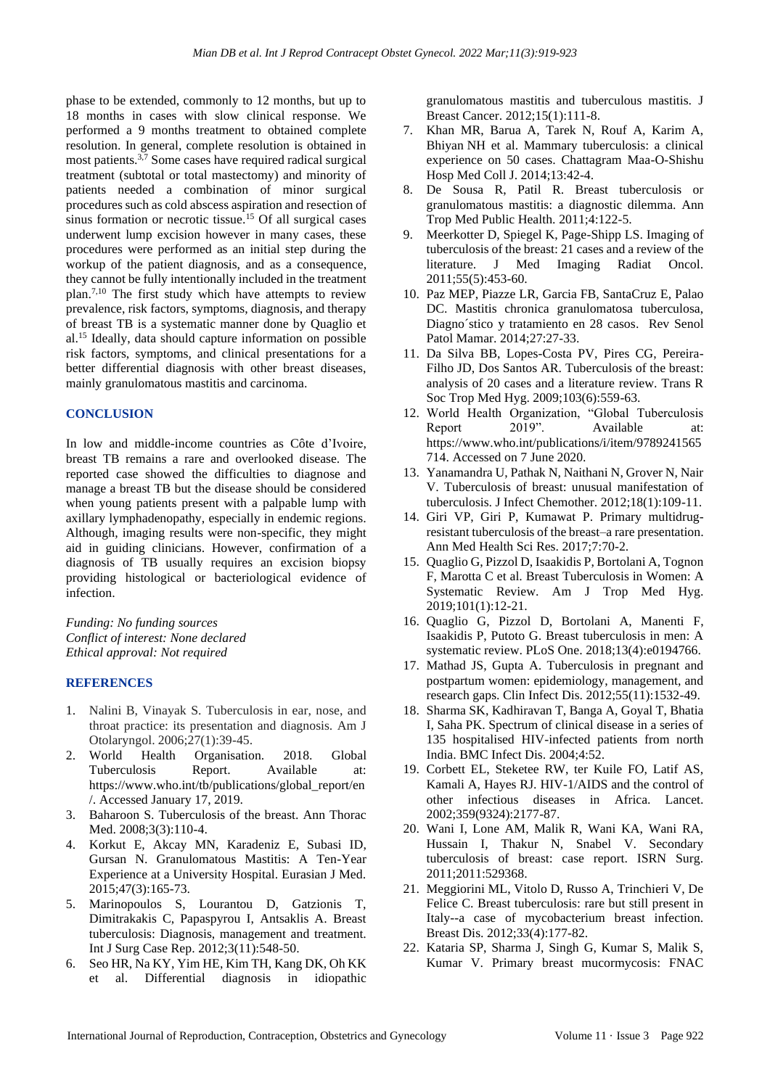phase to be extended, commonly to 12 months, but up to 18 months in cases with slow clinical response. We performed a 9 months treatment to obtained complete resolution. In general, complete resolution is obtained in most patients.3,7 Some cases have required radical surgical treatment (subtotal or total mastectomy) and minority of patients needed a combination of minor surgical procedures such as cold abscess aspiration and resection of sinus formation or necrotic tissue.<sup>15</sup> Of all surgical cases underwent lump excision however in many cases, these procedures were performed as an initial step during the workup of the patient diagnosis, and as a consequence, they cannot be fully intentionally included in the treatment plan.7,10 The first study which have attempts to review prevalence, risk factors, symptoms, diagnosis, and therapy of breast TB is a systematic manner done by Quaglio et al.<sup>15</sup> Ideally, data should capture information on possible risk factors, symptoms, and clinical presentations for a better differential diagnosis with other breast diseases, mainly granulomatous mastitis and carcinoma.

### **CONCLUSION**

In low and middle-income countries as Côte d'Ivoire, breast TB remains a rare and overlooked disease. The reported case showed the difficulties to diagnose and manage a breast TB but the disease should be considered when young patients present with a palpable lump with axillary lymphadenopathy, especially in endemic regions. Although, imaging results were non-specific, they might aid in guiding clinicians. However, confirmation of a diagnosis of TB usually requires an excision biopsy providing histological or bacteriological evidence of infection.

*Funding: No funding sources Conflict of interest: None declared Ethical approval: Not required*

#### **REFERENCES**

- 1. Nalini B, Vinayak S. Tuberculosis in ear, nose, and throat practice: its presentation and diagnosis. Am J Otolaryngol. 2006;27(1):39-45.
- 2. World Health Organisation. 2018. Global Tuberculosis Report. Available at: https://www.who.int/tb/publications/global\_report/en /. Accessed January 17, 2019.
- 3. Baharoon S. Tuberculosis of the breast. Ann Thorac Med. 2008:3(3):110-4.
- 4. Korkut E, Akcay MN, Karadeniz E, Subasi ID, Gursan N. Granulomatous Mastitis: A Ten-Year Experience at a University Hospital. Eurasian J Med. 2015;47(3):165-73.
- 5. Marinopoulos S, Lourantou D, Gatzionis T, Dimitrakakis C, Papaspyrou I, Antsaklis A. Breast tuberculosis: Diagnosis, management and treatment. Int J Surg Case Rep. 2012;3(11):548-50.
- 6. Seo HR, Na KY, Yim HE, Kim TH, Kang DK, Oh KK et al. Differential diagnosis in idiopathic

granulomatous mastitis and tuberculous mastitis. J Breast Cancer. 2012;15(1):111-8.

- 7. Khan MR, Barua A, Tarek N, Rouf A, Karim A, Bhiyan NH et al. Mammary tuberculosis: a clinical experience on 50 cases. Chattagram Maa-O-Shishu Hosp Med Coll J. 2014;13:42-4.
- 8. De Sousa R, Patil R. Breast tuberculosis or granulomatous mastitis: a diagnostic dilemma. Ann Trop Med Public Health. 2011;4:122-5.
- 9. Meerkotter D, Spiegel K, Page-Shipp LS. Imaging of tuberculosis of the breast: 21 cases and a review of the literature. J Med Imaging Radiat Oncol. 2011;55(5):453-60.
- 10. Paz MEP, Piazze LR, Garcia FB, SantaCruz E, Palao DC. Mastitis chronica granulomatosa tuberculosa, Diagno´stico y tratamiento en 28 casos. Rev Senol Patol Mamar. 2014;27:27-33.
- 11. Da Silva BB, Lopes-Costa PV, Pires CG, Pereira-Filho JD, Dos Santos AR. Tuberculosis of the breast: analysis of 20 cases and a literature review. Trans R Soc Trop Med Hyg. 2009;103(6):559-63.
- 12. World Health Organization, "Global Tuberculosis Report 2019". Available at: https://www.who.int/publications/i/item/9789241565 714. Accessed on 7 June 2020.
- 13. Yanamandra U, Pathak N, Naithani N, Grover N, Nair V. Tuberculosis of breast: unusual manifestation of tuberculosis. J Infect Chemother. 2012;18(1):109-11.
- 14. Giri VP, Giri P, Kumawat P. Primary multidrugresistant tuberculosis of the breast–a rare presentation. Ann Med Health Sci Res. 2017;7:70-2.
- 15. Quaglio G, Pizzol D, Isaakidis P, Bortolani A, Tognon F, Marotta C et al. Breast Tuberculosis in Women: A Systematic Review. Am J Trop Med Hyg. 2019;101(1):12-21.
- 16. Quaglio G, Pizzol D, Bortolani A, Manenti F, Isaakidis P, Putoto G. Breast tuberculosis in men: A systematic review. PLoS One. 2018;13(4):e0194766.
- 17. Mathad JS, Gupta A. Tuberculosis in pregnant and postpartum women: epidemiology, management, and research gaps. Clin Infect Dis. 2012;55(11):1532-49.
- 18. Sharma SK, Kadhiravan T, Banga A, Goyal T, Bhatia I, Saha PK. Spectrum of clinical disease in a series of 135 hospitalised HIV-infected patients from north India. BMC Infect Dis. 2004;4:52.
- 19. Corbett EL, Steketee RW, ter Kuile FO, Latif AS, Kamali A, Hayes RJ. HIV-1/AIDS and the control of other infectious diseases in Africa. Lancet. 2002;359(9324):2177-87.
- 20. Wani I, Lone AM, Malik R, Wani KA, Wani RA, Hussain I, Thakur N, Snabel V. Secondary tuberculosis of breast: case report. ISRN Surg. 2011;2011:529368.
- 21. Meggiorini ML, Vitolo D, Russo A, Trinchieri V, De Felice C. Breast tuberculosis: rare but still present in Italy--a case of mycobacterium breast infection. Breast Dis. 2012;33(4):177-82.
- 22. Kataria SP, Sharma J, Singh G, Kumar S, Malik S, Kumar V. Primary breast mucormycosis: FNAC